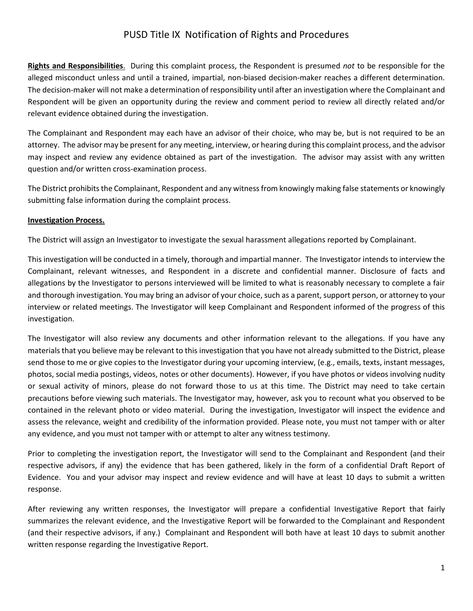## PUSD Title IX Notification of Rights and Procedures

**Rights and Responsibilities**. During this complaint process, the Respondent is presumed *not* to be responsible for the alleged misconduct unless and until a trained, impartial, non-biased decision-maker reaches a different determination. The decision-maker will not make a determination of responsibility until after an investigation where the Complainant and Respondent will be given an opportunity during the review and comment period to review all directly related and/or relevant evidence obtained during the investigation.

The Complainant and Respondent may each have an advisor of their choice, who may be, but is not required to be an attorney. The advisor may be present for any meeting, interview, or hearing during this complaint process, and the advisor may inspect and review any evidence obtained as part of the investigation. The advisor may assist with any written question and/or written cross-examination process.

The District prohibits the Complainant, Respondent and any witness from knowingly making false statements or knowingly submitting false information during the complaint process.

## **Investigation Process.**

The District will assign an Investigator to investigate the sexual harassment allegations reported by Complainant.

This investigation will be conducted in a timely, thorough and impartial manner. The Investigator intends to interview the Complainant, relevant witnesses, and Respondent in a discrete and confidential manner. Disclosure of facts and allegations by the Investigator to persons interviewed will be limited to what is reasonably necessary to complete a fair and thorough investigation. You may bring an advisor of your choice, such as a parent, support person, or attorney to your interview or related meetings. The Investigator will keep Complainant and Respondent informed of the progress of this investigation.

The Investigator will also review any documents and other information relevant to the allegations. If you have any materials that you believe may be relevant to this investigation that you have not already submitted to the District, please send those to me or give copies to the Investigator during your upcoming interview, (e.g., emails, texts, instant messages, photos, social media postings, videos, notes or other documents). However, if you have photos or videos involving nudity or sexual activity of minors, please do not forward those to us at this time. The District may need to take certain precautions before viewing such materials. The Investigator may, however, ask you to recount what you observed to be contained in the relevant photo or video material. During the investigation, Investigator will inspect the evidence and assess the relevance, weight and credibility of the information provided. Please note, you must not tamper with or alter any evidence, and you must not tamper with or attempt to alter any witness testimony.

Prior to completing the investigation report, the Investigator will send to the Complainant and Respondent (and their respective advisors, if any) the evidence that has been gathered, likely in the form of a confidential Draft Report of Evidence. You and your advisor may inspect and review evidence and will have at least 10 days to submit a written response.

After reviewing any written responses, the Investigator will prepare a confidential Investigative Report that fairly summarizes the relevant evidence, and the Investigative Report will be forwarded to the Complainant and Respondent (and their respective advisors, if any.) Complainant and Respondent will both have at least 10 days to submit another written response regarding the Investigative Report.